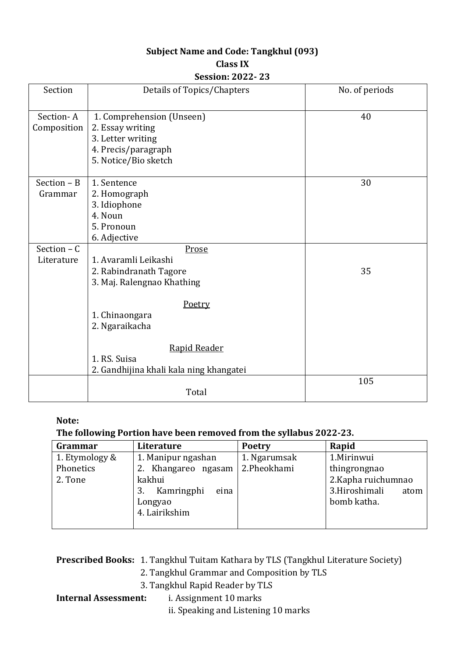# **Subject Name and Code: Tangkhul (093)**

## **Class IX**

#### **Session: 2022- 23**

| Section       | Details of Topics/Chapters              | No. of periods |
|---------------|-----------------------------------------|----------------|
| Section-A     | 1. Comprehension (Unseen)               | 40             |
|               |                                         |                |
| Composition   | 2. Essay writing                        |                |
|               | 3. Letter writing                       |                |
|               | 4. Precis/paragraph                     |                |
|               | 5. Notice/Bio sketch                    |                |
| Section $- B$ | 1. Sentence                             | 30             |
| Grammar       | 2. Homograph                            |                |
|               | 3. Idiophone                            |                |
|               | 4. Noun                                 |                |
|               | 5. Pronoun                              |                |
|               | 6. Adjective                            |                |
| Section $- C$ | Prose                                   |                |
| Literature    | 1. Avaramli Leikashi                    |                |
|               | 2. Rabindranath Tagore                  | 35             |
|               | 3. Maj. Ralengnao Khathing              |                |
|               | Poetry                                  |                |
|               | 1. Chinaongara                          |                |
|               | 2. Ngaraikacha                          |                |
|               | Rapid Reader                            |                |
|               | 1. RS. Suisa                            |                |
|               | 2. Gandhijina khali kala ning khangatei |                |
|               |                                         | 105            |
|               | Total                                   |                |

#### **Note:**

### **The following Portion have been removed from the syllabus 2022-23.**

| Grammar        | Literature         | <b>Poetry</b> | Rapid                 |
|----------------|--------------------|---------------|-----------------------|
| 1. Etymology & | 1. Manipur ngashan | 1. Ngarumsak  | 1.Mirinwui            |
| Phonetics      | Khangareo ngasam   | 2.Pheokhami   | thingrongnao          |
| 2. Tone        | kakhui             |               | 2. Kapha ruichumnao   |
|                | Kamringphi<br>eina |               | 3.Hiroshimali<br>atom |
|                | Longyao            |               | bomb katha.           |
|                | 4. Lairikshim      |               |                       |
|                |                    |               |                       |

**Prescribed Books:** 1. Tangkhul Tuitam Kathara by TLS (Tangkhul Literature Society)

- 2. Tangkhul Grammar and Composition by TLS
- 3. Tangkhul Rapid Reader by TLS

### **Internal Assessment:** i. Assignment 10 marks

ii. Speaking and Listening 10 marks